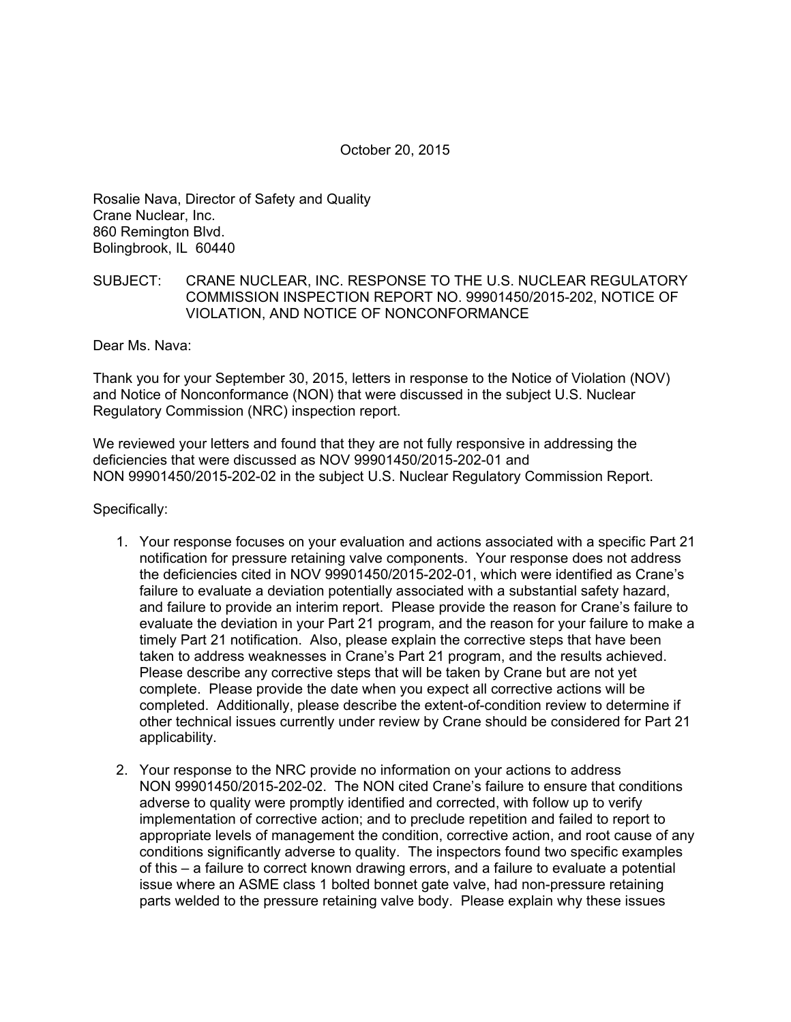Rosalie Nava, Director of Safety and Quality Crane Nuclear, Inc. 860 Remington Blvd. Bolingbrook, IL 60440

## SUBJECT: CRANE NUCLEAR, INC. RESPONSE TO THE U.S. NUCLEAR REGULATORY COMMISSION INSPECTION REPORT NO. 99901450/2015-202, NOTICE OF VIOLATION, AND NOTICE OF NONCONFORMANCE

Dear Ms. Nava:

Thank you for your September 30, 2015, letters in response to the Notice of Violation (NOV) and Notice of Nonconformance (NON) that were discussed in the subject U.S. Nuclear Regulatory Commission (NRC) inspection report.

We reviewed your letters and found that they are not fully responsive in addressing the deficiencies that were discussed as NOV 99901450/2015-202-01 and NON 99901450/2015-202-02 in the subject U.S. Nuclear Regulatory Commission Report.

Specifically:

- 1. Your response focuses on your evaluation and actions associated with a specific Part 21 notification for pressure retaining valve components. Your response does not address the deficiencies cited in NOV 99901450/2015-202-01, which were identified as Crane's failure to evaluate a deviation potentially associated with a substantial safety hazard, and failure to provide an interim report. Please provide the reason for Crane's failure to evaluate the deviation in your Part 21 program, and the reason for your failure to make a timely Part 21 notification. Also, please explain the corrective steps that have been taken to address weaknesses in Crane's Part 21 program, and the results achieved. Please describe any corrective steps that will be taken by Crane but are not yet complete. Please provide the date when you expect all corrective actions will be completed. Additionally, please describe the extent-of-condition review to determine if other technical issues currently under review by Crane should be considered for Part 21 applicability.
- 2. Your response to the NRC provide no information on your actions to address NON 99901450/2015-202-02. The NON cited Crane's failure to ensure that conditions adverse to quality were promptly identified and corrected, with follow up to verify implementation of corrective action; and to preclude repetition and failed to report to appropriate levels of management the condition, corrective action, and root cause of any conditions significantly adverse to quality. The inspectors found two specific examples of this – a failure to correct known drawing errors, and a failure to evaluate a potential issue where an ASME class 1 bolted bonnet gate valve, had non-pressure retaining parts welded to the pressure retaining valve body. Please explain why these issues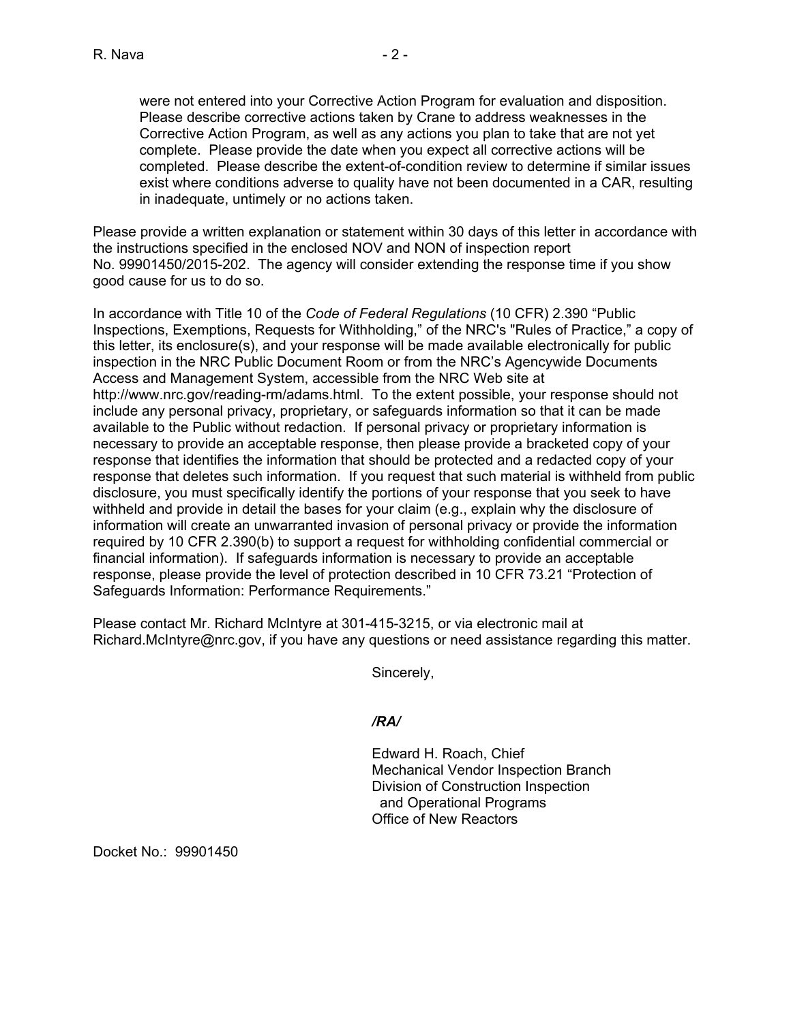were not entered into your Corrective Action Program for evaluation and disposition. Please describe corrective actions taken by Crane to address weaknesses in the Corrective Action Program, as well as any actions you plan to take that are not yet complete. Please provide the date when you expect all corrective actions will be completed. Please describe the extent-of-condition review to determine if similar issues exist where conditions adverse to quality have not been documented in a CAR, resulting in inadequate, untimely or no actions taken.

Please provide a written explanation or statement within 30 days of this letter in accordance with the instructions specified in the enclosed NOV and NON of inspection report No. 99901450/2015-202. The agency will consider extending the response time if you show good cause for us to do so.

In accordance with Title 10 of the *Code of Federal Regulations* (10 CFR) 2.390 "Public Inspections, Exemptions, Requests for Withholding," of the NRC's "Rules of Practice," a copy of this letter, its enclosure(s), and your response will be made available electronically for public inspection in the NRC Public Document Room or from the NRC's Agencywide Documents Access and Management System, accessible from the NRC Web site at http://www.nrc.gov/reading-rm/adams.html. To the extent possible, your response should not include any personal privacy, proprietary, or safeguards information so that it can be made available to the Public without redaction. If personal privacy or proprietary information is necessary to provide an acceptable response, then please provide a bracketed copy of your response that identifies the information that should be protected and a redacted copy of your response that deletes such information. If you request that such material is withheld from public disclosure, you must specifically identify the portions of your response that you seek to have withheld and provide in detail the bases for your claim (e.g., explain why the disclosure of information will create an unwarranted invasion of personal privacy or provide the information required by 10 CFR 2.390(b) to support a request for withholding confidential commercial or financial information). If safeguards information is necessary to provide an acceptable response, please provide the level of protection described in 10 CFR 73.21 "Protection of Safeguards Information: Performance Requirements."

Please contact Mr. Richard McIntyre at 301-415-3215, or via electronic mail at Richard.McIntyre@nrc.gov, if you have any questions or need assistance regarding this matter.

Sincerely,

## */RA/*

Edward H. Roach, Chief Mechanical Vendor Inspection Branch Division of Construction Inspection and Operational Programs Office of New Reactors

Docket No.: 99901450